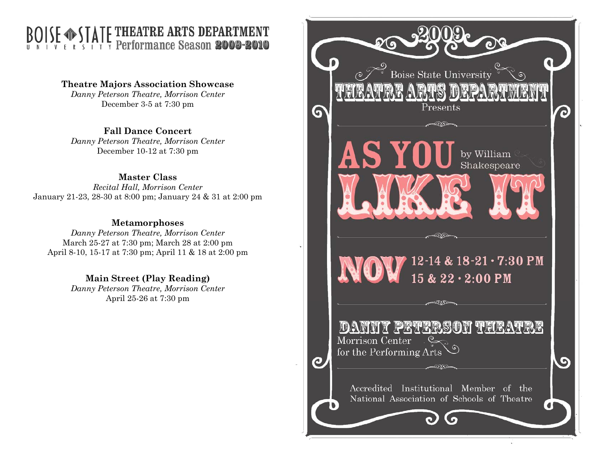## THEATRE ARTS DEPARTMENT **AIL** Performance Season **2009-2010**

**Theatre Majors Association Showcase**  *Danny Peterson Theatre, Morrison Center*  December 3-5 at 7:30 pm

**Fall Dance Concert** 

*Danny Peterson Theatre, Morrison Center*  December 10-12 at 7:30 pm

## **Master Class**

*Recital Hall, Morrison Center*  January 21-23, 28-30 at 8:00 pm; January 24 & 31 at 2:00 pm

## **Metamorphoses**

*Danny Peterson Theatre, Morrison Center*  March 25-27 at 7:30 pm; March 28 at 2:00 pm April 8-10, 15-17 at 7:30 pm; April 11 & 18 at 2:00 pm

**Main Street (Play Reading)** 

*Danny Peterson Theatre, Morrison Center*  April 25-26 at 7:30 pm

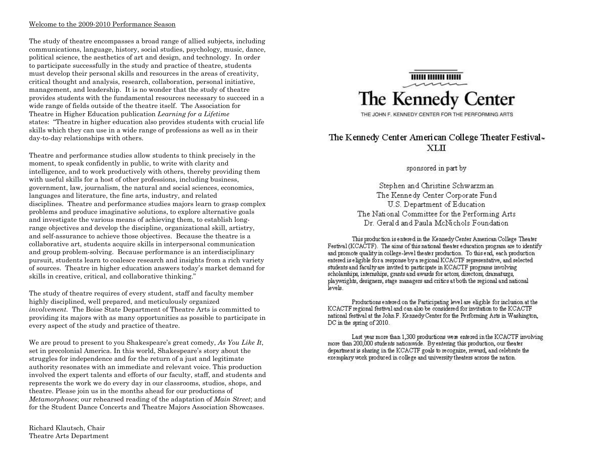#### Welcome to the 2009-2010 Performance Season

The study of theatre encompasses a broad range of allied subjects, including communications, language, history, social studies, psychology, music, dance, political science, the aesthetics of art and design, and technology. In order to participate successfully in the study and practice of theatre, students must develop their personal skills and resources in the areas of creativity, critical thought and analysis, research, collaboration, personal initiative, management, and leadership. It is no wonder that the study of theatre provides students with the fundamental resources necessary to succeed in a wide range of fields outside of the theatre itself. The Association for Theatre in Higher Education publication *Learning for a Lifetime* states: "Theatre in higher education also provides students with crucial life skills which they can use in a wide range of professions as well as in their day-to-day relationships with others.

Theatre and performance studies allow students to think precisely in the moment, to speak confidently in public, to write with clarity and intelligence, and to work productively with others, thereby providing them with useful skills for a host of other professions, including business, government, law, journalism, the natural and social sciences, economics, languages and literature, the fine arts, industry, and related disciplines. Theatre and performance studies majors learn to grasp complex problems and produce imaginative solutions, to explore alternative goals and investigate the various means of achieving them, to establish longrange objectives and develop the discipline, organizational skill, artistry, and self-assurance to achieve those objectives. Because the theatre is a collaborative art, students acquire skills in interpersonal communication and group problem-solving. Because performance is an interdisciplinary pursuit, students learn to coalesce research and insights from a rich variety of sources. Theatre in higher education answers today's market demand for skills in creative, critical, and collaborative thinking."

The study of theatre requires of every student, staff and faculty member highly disciplined, well prepared, and meticulously organized *involvement.* The Boise State Department of Theatre Arts is committed to providing its majors with as many opportunities as possible to participate in every aspect of the study and practice of theatre.

We are proud to present to you Shakespeare's great comedy, *As You Like It*, set in precolonial America. In this world, Shakespeare's story about the struggles for independence and for the return of a just and legitimate authority resonates with an immediate and relevant voice. This production involved the expert talents and efforts of our faculty, staff, and students and represents the work we do every day in our classrooms, studios, shops, and theatre. Please join us in the months ahead for our productions of *Metamorphoses*; our rehearsed reading of the adaptation of *Main Street*; and for the Student Dance Concerts and Theatre Majors Association Showcases.

Richard Klautsch, Chair Theatre Arts Department



### The Kennedy Center American College Theater Festival-XLII

sponsored in part by

Stephen and Christine Schwarzman The Kennedy Center Corporate Fund U.S. Department of Education The National Committee for the Performing Arts Dr. Gerald and Paula McNichols Foundation

This production is entered in the Kennedy Center American College Theater Festival (KCACTF). The aims of this national theater education program are to identify and promote quality in college-level the ater production. To this end, each production entered is eligible for a response by a regional KCACTF representative, and selected students and faculty are invited to participate in KCACTF programs involving scholarships, internships, grants and awards for actors, directors, dramaturgs, playwrights, designers, stage managers and critics at both the regional and national levels.

Productions entered on the Participating level are eligible for inclusion at the KCACTF regional festival and can also be considered for invitation to the KCACTF national festival at the John F. Kennedy Center for the Performing Arts in Washington, DC in the spring of 2010.

Last year more than 1,300 productions were entered in the KCACTF involving more than 200,000 students nationwide. By entering this production, our theater department is sharing in the KCACTF goals to recognize, reward, and celebrate the exemplary work produced in college and university theaters across the nation.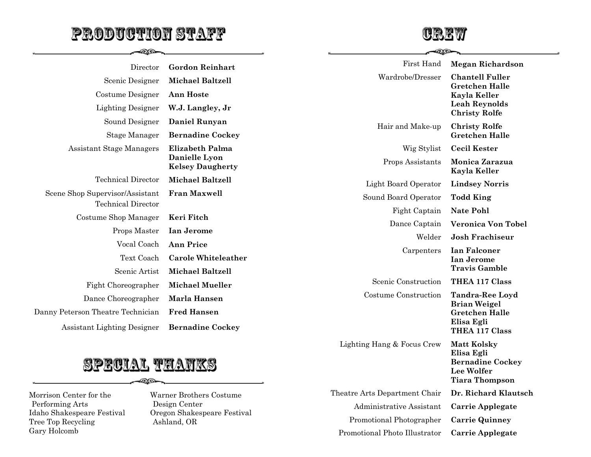# <u>PRODUCTION STAFF</u>

 $-25$ 



**COXED** 

**Elisa Egli** 

**Lee Wolfer Tiara Thompson** 

Theatre Arts Department Chair **Dr. Richard Klautsch**  Administrative Assistant **Carrie Applegate**  Promotional Photographer **Carrie Quinney**  Promotional Photo Illustrator **Carrie Applegate** 

**Bernadine Cockey** 

| Director                           | <b>Gordon Reinhart</b>                   | First Hand                 | <b>Megan Richardson</b>                       |
|------------------------------------|------------------------------------------|----------------------------|-----------------------------------------------|
| Scenic Designer                    | <b>Michael Baltzell</b>                  | Wardrobe/Dresser           | <b>Chantell Fuller</b>                        |
| Costume Designer                   | <b>Ann Hoste</b>                         |                            | <b>Gretchen Halle</b><br>Kayla Keller         |
| <b>Lighting Designer</b>           | W.J. Langley, Jr                         |                            | Leah Reynolds<br><b>Christy Rolfe</b>         |
| Sound Designer                     | <b>Daniel Runyan</b>                     | Hair and Make-up           | <b>Christy Rolfe</b><br><b>Gretchen Halle</b> |
| Stage Manager                      | <b>Bernadine Cockey</b>                  |                            |                                               |
| <b>Assistant Stage Managers</b>    | <b>Elizabeth Palma</b>                   | Wig Stylist                | <b>Cecil Kester</b>                           |
|                                    | Danielle Lyon<br><b>Kelsey Daugherty</b> | Props Assistants           | Monica Zarazua<br>Kayla Keller                |
| Technical Director                 | <b>Michael Baltzell</b>                  | Light Board Operator       | <b>Lindsey Norris</b>                         |
| Scene Shop Supervisor/Assistant    | <b>Fran Maxwell</b>                      | Sound Board Operator       | <b>Todd King</b>                              |
| <b>Technical Director</b>          |                                          | Fight Captain              | <b>Nate Pohl</b>                              |
| Costume Shop Manager               | Keri Fitch                               | Dance Captain              | <b>Veronica Von Tobel</b>                     |
| Props Master                       | Ian Jerome                               |                            |                                               |
| Vocal Coach                        | <b>Ann Price</b>                         | Welder                     | <b>Josh Frachiseur</b>                        |
| Text Coach                         | <b>Carole Whiteleather</b>               | Carpenters                 | <b>Ian Falconer</b><br>Ian Jerome             |
| Scenic Artist                      | <b>Michael Baltzell</b>                  |                            | <b>Travis Gamble</b>                          |
| Fight Choreographer                | <b>Michael Mueller</b>                   | Scenic Construction        | THEA 117 Class                                |
| Dance Choreographer                | <b>Marla Hansen</b>                      | Costume Construction       | <b>Tandra-Ree Loyd</b>                        |
| Danny Peterson Theatre Technician  | <b>Fred Hansen</b>                       |                            | <b>Brian Weigel</b><br><b>Gretchen Halle</b>  |
| <b>Assistant Lighting Designer</b> | <b>Bernadine Cockey</b>                  |                            | Elisa Egli<br><b>THEA 117 Class</b>           |
|                                    |                                          | Lighting Hang & Focus Crew | <b>Matt Kolsky</b>                            |



වක

Morrison Center for the Performing Arts Idaho Shakespeare Festival Tree Top Recycling Gary Holcomb

Warner Brothers Costume Design Center Oregon Shakespeare Festival Ashland, OR